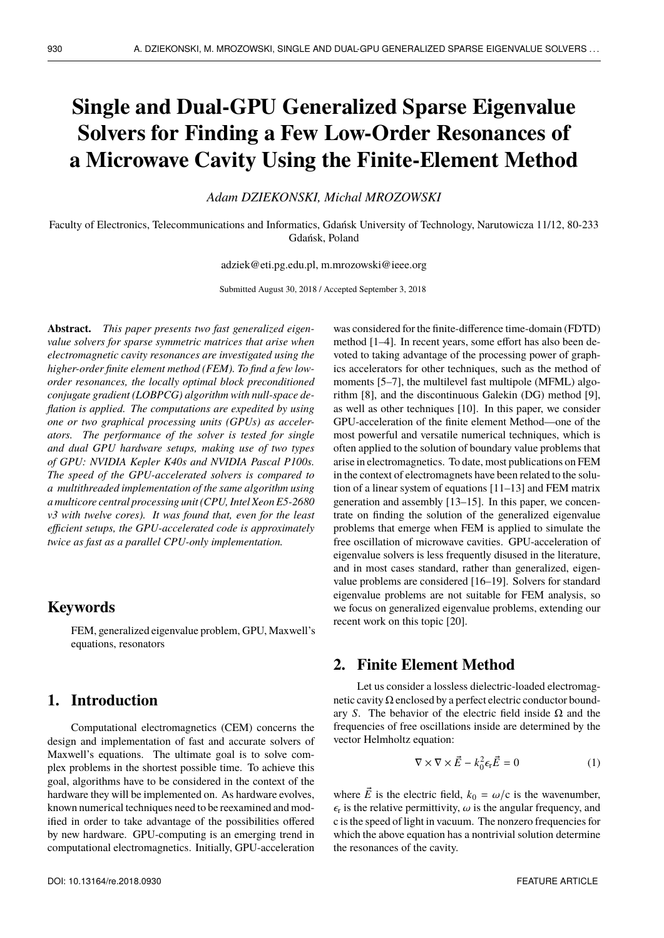# **Single and Dual-GPU Generalized Sparse Eigenvalue Solvers for Finding a Few Low-Order Resonances of a Microwave Cavity Using the Finite-Element Method**

*Adam DZIEKONSKI, Michal MROZOWSKI*

Faculty of Electronics, Telecommunications and Informatics, Gdańsk University of Technology, Narutowicza 11/12, 80-233 Gdańsk, Poland

adziek@eti.pg.edu.pl, m.mrozowski@ieee.org

Submitted August 30, 2018 / Accepted September 3, 2018

**Abstract.** *This paper presents two fast generalized eigenvalue solvers for sparse symmetric matrices that arise when electromagnetic cavity resonances are investigated using the higher-order finite element method (FEM). To find a few loworder resonances, the locally optimal block preconditioned conjugate gradient (LOBPCG) algorithm with null-space deflation is applied. The computations are expedited by using one or two graphical processing units (GPUs) as accelerators. The performance of the solver is tested for single and dual GPU hardware setups, making use of two types of GPU: NVIDIA Kepler K40s and NVIDIA Pascal P100s. The speed of the GPU-accelerated solvers is compared to a multithreaded implementation of the same algorithm using a multicore central processing unit (CPU, Intel Xeon E5-2680 v3 with twelve cores). It was found that, even for the least efficient setups, the GPU-accelerated code is approximately twice as fast as a parallel CPU-only implementation.*

# **Keywords**

FEM, generalized eigenvalue problem, GPU, Maxwell's equations, resonators

# **1. Introduction**

Computational electromagnetics (CEM) concerns the design and implementation of fast and accurate solvers of Maxwell's equations. The ultimate goal is to solve complex problems in the shortest possible time. To achieve this goal, algorithms have to be considered in the context of the hardware they will be implemented on. As hardware evolves, known numerical techniques need to be reexamined and modified in order to take advantage of the possibilities offered by new hardware. GPU-computing is an emerging trend in computational electromagnetics. Initially, GPU-acceleration

was considered for the finite-difference time-domain (FDTD) method [1–4]. In recent years, some effort has also been devoted to taking advantage of the processing power of graphics accelerators for other techniques, such as the method of moments [5–7], the multilevel fast multipole (MFML) algorithm [8], and the discontinuous Galekin (DG) method [9], as well as other techniques [10]. In this paper, we consider GPU-acceleration of the finite element Method—one of the most powerful and versatile numerical techniques, which is often applied to the solution of boundary value problems that arise in electromagnetics. To date, most publications on FEM in the context of electromagnets have been related to the solution of a linear system of equations [11–13] and FEM matrix generation and assembly [13–15]. In this paper, we concentrate on finding the solution of the generalized eigenvalue problems that emerge when FEM is applied to simulate the free oscillation of microwave cavities. GPU-acceleration of eigenvalue solvers is less frequently disused in the literature, and in most cases standard, rather than generalized, eigenvalue problems are considered [16–19]. Solvers for standard eigenvalue problems are not suitable for FEM analysis, so we focus on generalized eigenvalue problems, extending our recent work on this topic [20].

# **2. Finite Element Method**

Let us consider a lossless dielectric-loaded electromagnetic cavity  $\Omega$  enclosed by a perfect electric conductor boundary *S*. The behavior of the electric field inside Ω and the frequencies of free oscillations inside are determined by the vector Helmholtz equation:

$$
\nabla \times \nabla \times \vec{E} - k_0^2 \epsilon_r \vec{E} = 0 \tag{1}
$$

where  $\vec{E}$  is the electric field,  $k_0 = \omega/c$  is the wavenumber,  $\epsilon_{\rm r}$  is the relative permittivity,  $\omega$  is the angular frequency, and c is the speed of light in vacuum. The popzero frequencies for c is the speed of light in vacuum. The nonzero frequencies for which the above equation has a nontrivial solution determine the resonances of the cavity.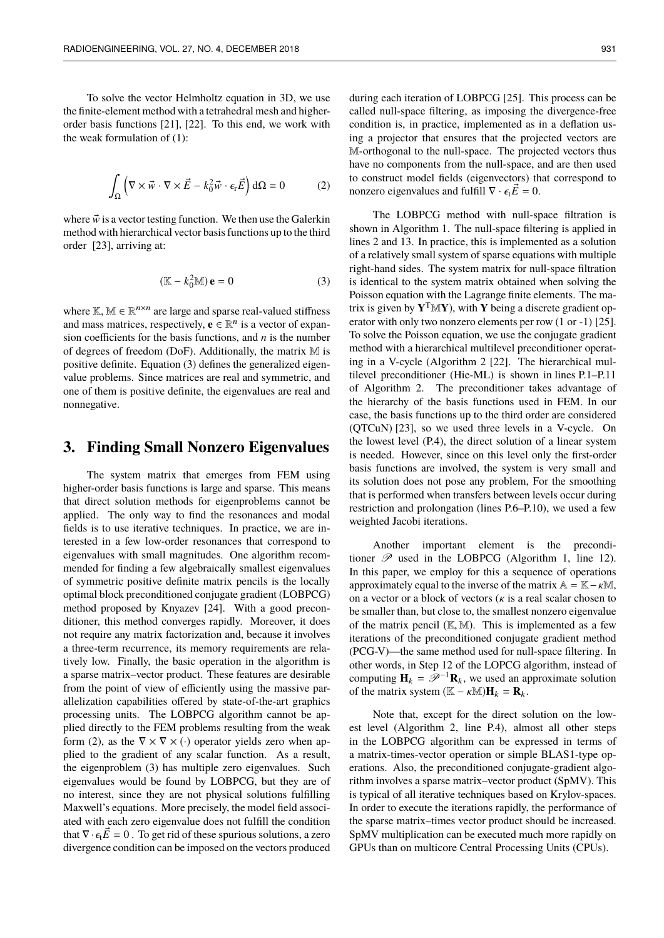To solve the vector Helmholtz equation in 3D, we use the finite-element method with a tetrahedral mesh and higherorder basis functions [21], [22]. To this end, we work with the weak formulation of (1):

$$
\int_{\Omega} \left( \nabla \times \vec{w} \cdot \nabla \times \vec{E} - k_0^2 \vec{w} \cdot \epsilon_{\rm r} \vec{E} \right) d\Omega = 0 \tag{2}
$$

where  $\vec{w}$  is a vector testing function. We then use the Galerkin method with hierarchical vector basis functions up to the third order [23], arriving at:

$$
(\mathbb{K} - k_0^2 \mathbb{M}) \mathbf{e} = 0 \tag{3}
$$

where  $\mathbb{K}, \mathbb{M} \in \mathbb{R}^{n \times n}$  are large and sparse real-valued stiffness and mass matrices, respectively,  $\mathbf{e} \in \mathbb{R}^n$  is a vector of expansion coefficients for the basis functions, and *n* is the number of degrees of freedom (DoF). Additionally, the matrix M is positive definite. Equation (3) defines the generalized eigenvalue problems. Since matrices are real and symmetric, and one of them is positive definite, the eigenvalues are real and nonnegative.

#### **3. Finding Small Nonzero Eigenvalues**

The system matrix that emerges from FEM using higher-order basis functions is large and sparse. This means that direct solution methods for eigenproblems cannot be applied. The only way to find the resonances and modal fields is to use iterative techniques. In practice, we are interested in a few low-order resonances that correspond to eigenvalues with small magnitudes. One algorithm recommended for finding a few algebraically smallest eigenvalues of symmetric positive definite matrix pencils is the locally optimal block preconditioned conjugate gradient (LOBPCG) method proposed by Knyazev [24]. With a good preconditioner, this method converges rapidly. Moreover, it does not require any matrix factorization and, because it involves a three-term recurrence, its memory requirements are relatively low. Finally, the basic operation in the algorithm is a sparse matrix–vector product. These features are desirable from the point of view of efficiently using the massive parallelization capabilities offered by state-of-the-art graphics processing units. The LOBPCG algorithm cannot be applied directly to the FEM problems resulting from the weak form (2), as the  $\nabla \times \nabla \times (.)$  operator yields zero when applied to the gradient of any scalar function. As a result, the eigenproblem (3) has multiple zero eigenvalues. Such eigenvalues would be found by LOBPCG, but they are of no interest, since they are not physical solutions fulfilling Maxwell's equations. More precisely, the model field associated with each zero eigenvalue does not fulfill the condition that  $\nabla \cdot \epsilon_t \vec{E} = 0$ . To get rid of these spurious solutions, a zero divergence condition can be imposed on the vectors produced

during each iteration of LOBPCG [25]. This process can be called null-space filtering, as imposing the divergence-free condition is, in practice, implemented as in a deflation using a projector that ensures that the projected vectors are M-orthogonal to the null-space. The projected vectors thus have no components from the null-space, and are then used to construct model fields (eigenvectors) that correspond to nonzero eigenvalues and fulfill  $\nabla \cdot \epsilon_t \vec{E} = 0$ .

The LOBPCG method with null-space filtration is shown in Algorithm 1. The null-space filtering is applied in lines 2 and 13. In practice, this is implemented as a solution of a relatively small system of sparse equations with multiple right-hand sides. The system matrix for null-space filtration is identical to the system matrix obtained when solving the Poisson equation with the Lagrange finite elements. The matrix is given by  $Y^T \mathbb{M} Y$ , with Y being a discrete gradient operator with only two nonzero elements per row (1 or -1) [25]. To solve the Poisson equation, we use the conjugate gradient method with a hierarchical multilevel preconditioner operating in a V-cycle (Algorithm 2 [22]. The hierarchical multilevel preconditioner (Hie-ML) is shown in lines P.1–P.11 of Algorithm 2. The preconditioner takes advantage of the hierarchy of the basis functions used in FEM. In our case, the basis functions up to the third order are considered (QTCuN) [23], so we used three levels in a V-cycle. On the lowest level (P.4), the direct solution of a linear system is needed. However, since on this level only the first-order basis functions are involved, the system is very small and its solution does not pose any problem, For the smoothing that is performed when transfers between levels occur during restriction and prolongation (lines P.6–P.10), we used a few weighted Jacobi iterations.

Another important element is the preconditioner  $\mathscr P$  used in the LOBPCG (Algorithm 1, line 12). In this paper, we employ for this a sequence of operations approximately equal to the inverse of the matrix  $A = K - \kappa M$ , on a vector or a block of vectors  $(k$  is a real scalar chosen to be smaller than, but close to, the smallest nonzero eigenvalue of the matrix pencil  $(K, M)$ . This is implemented as a few iterations of the preconditioned conjugate gradient method (PCG-V)—the same method used for null-space filtering. In other words, in Step 12 of the LOPCG algorithm, instead of computing  $\mathbf{H}_k = \mathcal{P}^{-1} \mathbf{R}_k$ , we used an approximate solution of the matrix system  $(\mathbb{K} - \kappa \mathbb{M})\mathbf{H}_k = \mathbf{R}_k$ .

Note that, except for the direct solution on the lowest level (Algorithm 2, line P.4), almost all other steps in the LOBPCG algorithm can be expressed in terms of a matrix-times-vector operation or simple BLAS1-type operations. Also, the preconditioned conjugate-gradient algorithm involves a sparse matrix–vector product (SpMV). This is typical of all iterative techniques based on Krylov-spaces. In order to execute the iterations rapidly, the performance of the sparse matrix–times vector product should be increased. SpMV multiplication can be executed much more rapidly on GPUs than on multicore Central Processing Units (CPUs).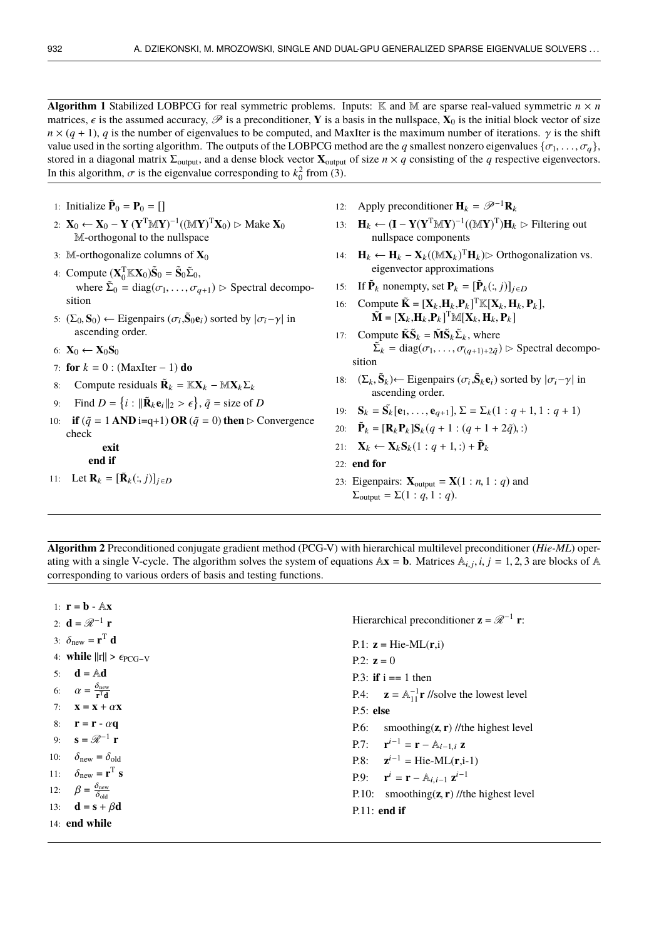**Algorithm 1** Stabilized LOBPCG for real symmetric problems. Inputs:  $\mathbb{K}$  and  $\mathbb{M}$  are sparse real-valued symmetric  $n \times n$ matrices,  $\epsilon$  is the assumed accuracy,  $\mathcal{P}$  is a preconditioner, **Y** is a basis in the nullspace, **X**<sub>0</sub> is the initial block vector of size  $n \times (q + 1)$ , *q* is the number of eigenvalues to be computed, and MaxIter is the maximum number of iterations.  $\gamma$  is the shift value used in the sorting algorithm. The outputs of the LOBPCG method are the *q* smallest nonzero eigenvalues  $\{\sigma_1, \ldots, \sigma_q\}$ , stored in a diagonal matrix  $\Sigma_{\text{output}}$ , and a dense block vector  $\mathbf{X}_{\text{output}}$  of size  $n \times q$  consisting of the *q* respective eigenvectors. In this algorithm,  $\sigma$  is the eigenvalue corresponding to  $k_0^2$  from (3).

- 1: **Initialize**  $\tilde{\mathbf{P}}_0 = \mathbf{P}_0 = []$
- 2: **X**<sub>0</sub> ← **X**<sub>0</sub> − **Y** (**Y**<sup>T</sup>M**Y**)<sup>-1</sup>((M**Y**)<sup>T</sup>**X**<sub>0</sub>) ⊳ Make **X**<sub>0</sub> M-orthogonal to the nullspace
- 3: M-orthogonalize columns of **X**<sup>0</sup>
- 4: Compute  $(\mathbf{X}_0^T \mathbb{K} \mathbf{X}_0) \tilde{\mathbf{S}}_0 = \tilde{\mathbf{S}}_0 \tilde{\Sigma}_0$ , where  $\tilde{\Sigma}_0 = \text{diag}(\sigma_1, \dots, \sigma_{q+1}) \triangleright \text{Spectral decomposition}$ sition
- 5:  $(\Sigma_0, \mathbf{S}_0) \leftarrow$  Eigenpairs  $(\sigma_i, \tilde{\mathbf{S}}_0 \mathbf{e}_i)$  sorted by  $|\sigma_i \gamma|$  in ascending order.
- 6:  $X_0 \leftarrow X_0S_0$
- 7: **for**  $k = 0$  : (MaxIter 1) **do**
- 8: Compute residuals  $\tilde{\mathbf{R}}_k = \mathbb{K} \mathbf{X}_k \mathbb{M} \mathbf{X}_k \Sigma_k$
- 9: Find  $D = \{i : ||\mathbf{R}_k \mathbf{e}_i||_2 > \epsilon\}, \tilde{q} = \text{size of } D$
- 10: **if**  $(\tilde{q} = 1 \text{ AND } i = q+1) \text{ OR } (\tilde{q} = 0)$  then  $\triangleright$  Convergence check
	- .............**exit** ........**end if**
	-
- 11: Let  $\mathbf{R}_k = [\tilde{\mathbf{R}}_k(:,j)]_{j \in D}$
- 12: Apply preconditioner  $\mathbf{H}_k = \mathcal{P}^{-1} \mathbf{R}_k$
- 13: **H**<sub>k</sub> ← (**I** − **Y**(**Y**<sup>T</sup>M**Y**)<sup>-1</sup>((M**Y**)<sup>T</sup>)**H**<sub>k</sub> ⊳ Filtering out nullspace components
- 14: **H**<sub>k</sub> ← **H**<sub>k</sub> **X**<sub>k</sub>(( $\mathbb{M}$ **X**<sub>k</sub>)<sup>T</sup>**H**<sub>k</sub>) $\triangleright$  Orthogonalization vs. eigenvector approximations
- 15: If  $\tilde{\mathbf{P}}_k$  nonempty, set  $\mathbf{P}_k = [\tilde{\mathbf{P}}_k(:,j)]_{j \in D}$
- 16: Compute  $\tilde{\mathbf{K}} = [\mathbf{X}_k, \mathbf{H}_k, \mathbf{P}_k]^\text{T} \mathbb{K} [\mathbf{X}_k, \mathbf{H}_k, \mathbf{P}_k],$ <br>  $\tilde{\mathbf{M}} = [\mathbf{X}_k, \mathbf{H}_k, \mathbf{P}_k]^\text{T} \mathbb{M} [\mathbf{X}_k, \mathbf{H}_k, \mathbf{P}_k]$  $\tilde{\mathbf{M}} = [\mathbf{X}_k, \mathbf{H}_k, \mathbf{P}_k]^{\mathrm{T}} \mathbb{M} [\mathbf{X}_k, \mathbf{H}_k, \mathbf{P}_k]$
- 17: Compute  $\tilde{\mathbf{K}}\tilde{\mathbf{S}}_k = \tilde{\mathbf{M}}\tilde{\mathbf{S}}_k \tilde{\Sigma}_k$ , where  $\sum_{k=1}^{\infty}$  = diag( $\sigma_1, \ldots, \sigma_{(q+1)+2\tilde{q}}$ )  $\triangleright$  Spectral decomposition
- 18:  $(\Sigma_k, \tilde{\mathbf{S}}_k) \leftarrow$  Eigenpairs  $(\sigma_i, \tilde{\mathbf{S}}_k \mathbf{e}_i)$  sorted by  $|\sigma_i \gamma|$  in ascending order.
- 19: **S**<sub>k</sub> = **S**<sub>k</sub>[**e**<sub>1</sub>, ..., **e**<sub>q+1</sub>],  $\Sigma = \Sigma_k (1 : q + 1, 1 : q + 1)$
- 20:  $\tilde{\mathbf{P}}_k = [\mathbf{R}_k \mathbf{P}_k] \mathbf{S}_k (q+1 : (q+1+2\tilde{q}), :)$
- 21:  $\mathbf{X}_k \leftarrow \mathbf{X}_k \mathbf{S}_k (1 : q + 1, :) + \tilde{\mathbf{P}}_k$
- 22: **end for**
- 23: Eigenpairs:  $\mathbf{X}_{\text{output}} = \mathbf{X}(1:n, 1:q)$  and  $\Sigma_{\text{output}} = \Sigma(1:q, 1:q).$

**Algorithm 2** Preconditioned conjugate gradient method (PCG-V) with hierarchical multilevel preconditioner (*Hie-ML*) operating with a single V-cycle. The algorithm solves the system of equations  $Ax = b$ . Matrices  $A_{i,j}$ ,  $i, j = 1, 2, 3$  are blocks of A corresponding to various orders of basis and testing functions corresponding to various orders of basis and testing functions.

1:  $\mathbf{r} = \mathbf{b} - \mathbb{A}\mathbf{x}$ 2: **d** =  $\mathcal{R}^{-1}$  **r** 3:  $\delta_{\text{new}} = \mathbf{r}^T \mathbf{d}$ 4: **while**  $||r|| > \epsilon_{PCG-V}$ 5:  $\mathbf{d} = \mathbb{A} \mathbf{d}$ 6:  $\alpha = \frac{\sigma_{\text{new}}}{\mathbf{r}^T \mathbf{d}}$ 7: **x** = **x** +  $\alpha$ **x**<br>8: **r** = **r** -  $\alpha$ **q** 8: **r** = **r** -  $\alpha$ **q**<br>9: **s** =  $\mathcal{R}^{-1}$  **r** 9: **s** =  $\mathcal{R}^{-1}$  **r** 10:  $\delta_{\text{new}} = \delta_{\text{old}}$ 11:  $\delta_{\text{new}} = \mathbf{r}^T \mathbf{s}$ 12:  $\beta = \frac{\sigma_{\text{new}}}{\delta_{\text{old}}}$ 13: **d** = **s** +  $\beta$ **d** 14: **end while** Hierarchical preconditioner  $z = \mathcal{R}^{-1}$  **r**: P.1:  $z = Hie-ML(r,i)$ P.2:  $z = 0$ P.3: **if**  $i == 1$  then P.4:  $\mathbf{z} = \mathbb{A}_{11}^{-1} \mathbf{r}$  //solve the lowest level P.5: **else** P.6: smoothing(**z**, **<sup>r</sup>**) //the highest level  $P.7:$  $\mathbf{r}^{i-1} = \mathbf{r} - \mathbb{A}_{i-1,i} \mathbf{z}$ P.8:  $z^{i-1} = \text{Hie-ML}(r,i-1)$  $P.9:$  $i = \mathbf{r} - \mathbb{A}_{i,i-1} \mathbf{z}^{i-1}$ P.10: smoothing(**z**, **<sup>r</sup>**) //the highest level P.11: **end if**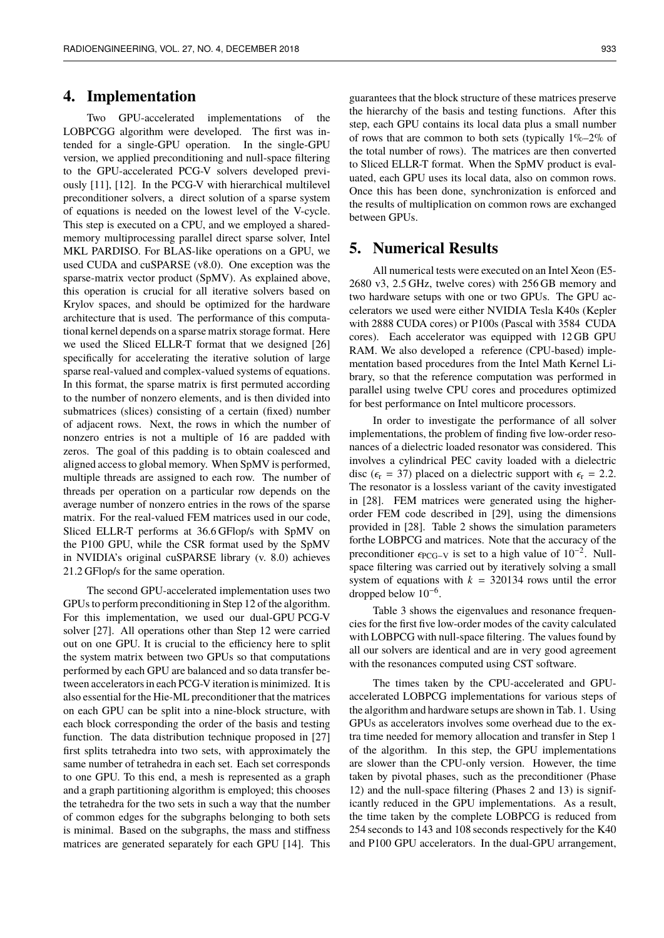#### **4. Implementation**

Two GPU-accelerated implementations of the LOBPCGG algorithm were developed. The first was intended for a single-GPU operation. In the single-GPU version, we applied preconditioning and null-space filtering to the GPU-accelerated PCG-V solvers developed previously [11], [12]. In the PCG-V with hierarchical multilevel preconditioner solvers, a direct solution of a sparse system of equations is needed on the lowest level of the V-cycle. This step is executed on a CPU, and we employed a sharedmemory multiprocessing parallel direct sparse solver, Intel MKL PARDISO. For BLAS-like operations on a GPU, we used CUDA and cuSPARSE (v8.0). One exception was the sparse-matrix vector product (SpMV). As explained above, this operation is crucial for all iterative solvers based on Krylov spaces, and should be optimized for the hardware architecture that is used. The performance of this computational kernel depends on a sparse matrix storage format. Here we used the Sliced ELLR-T format that we designed [26] specifically for accelerating the iterative solution of large sparse real-valued and complex-valued systems of equations. In this format, the sparse matrix is first permuted according to the number of nonzero elements, and is then divided into submatrices (slices) consisting of a certain (fixed) number of adjacent rows. Next, the rows in which the number of nonzero entries is not a multiple of 16 are padded with zeros. The goal of this padding is to obtain coalesced and aligned access to global memory. When SpMV is performed, multiple threads are assigned to each row. The number of threads per operation on a particular row depends on the average number of nonzero entries in the rows of the sparse matrix. For the real-valued FEM matrices used in our code, Sliced ELLR-T performs at 36.6 GFlop/s with SpMV on the P100 GPU, while the CSR format used by the SpMV in NVIDIA's original cuSPARSE library (v. 8.0) achieves 21.2 GFlop/s for the same operation.

The second GPU-accelerated implementation uses two GPUs to perform preconditioning in Step 12 of the algorithm. For this implementation, we used our dual-GPU PCG-V solver [27]. All operations other than Step 12 were carried out on one GPU. It is crucial to the efficiency here to split the system matrix between two GPUs so that computations performed by each GPU are balanced and so data transfer between accelerators in each PCG-V iteration is minimized. It is also essential for the Hie-ML preconditioner that the matrices on each GPU can be split into a nine-block structure, with each block corresponding the order of the basis and testing function. The data distribution technique proposed in [27] first splits tetrahedra into two sets, with approximately the same number of tetrahedra in each set. Each set corresponds to one GPU. To this end, a mesh is represented as a graph and a graph partitioning algorithm is employed; this chooses the tetrahedra for the two sets in such a way that the number of common edges for the subgraphs belonging to both sets is minimal. Based on the subgraphs, the mass and stiffness matrices are generated separately for each GPU [14]. This

guarantees that the block structure of these matrices preserve the hierarchy of the basis and testing functions. After this step, each GPU contains its local data plus a small number of rows that are common to both sets (typically  $1\% - 2\%$  of the total number of rows). The matrices are then converted to Sliced ELLR-T format. When the SpMV product is evaluated, each GPU uses its local data, also on common rows. Once this has been done, synchronization is enforced and the results of multiplication on common rows are exchanged between GPUs.

#### **5. Numerical Results**

All numerical tests were executed on an Intel Xeon (E5- 2680 v3, 2.5 GHz, twelve cores) with 256 GB memory and two hardware setups with one or two GPUs. The GPU accelerators we used were either NVIDIA Tesla K40s (Kepler with 2888 CUDA cores) or P100s (Pascal with 3584 CUDA cores). Each accelerator was equipped with 12 GB GPU RAM. We also developed a reference (CPU-based) implementation based procedures from the Intel Math Kernel Library, so that the reference computation was performed in parallel using twelve CPU cores and procedures optimized for best performance on Intel multicore processors.

In order to investigate the performance of all solver implementations, the problem of finding five low-order resonances of a dielectric loaded resonator was considered. This involves a cylindrical PEC cavity loaded with a dielectric disc ( $\epsilon_{\rm r}$  = 37) placed on a dielectric support with  $\epsilon_{\rm r}$  = 2.2. The resonator is a lossless variant of the cavity investigated in [28]. FEM matrices were generated using the higherorder FEM code described in [29], using the dimensions provided in [28]. Table 2 shows the simulation parameters forthe LOBPCG and matrices. Note that the accuracy of the preconditioner  $\epsilon_{\text{PCG-V}}$  is set to a high value of  $10^{-2}$ . Null-<br>space filtering was carried out by iteratively solving a small space filtering was carried out by iteratively solving a small system of equations with  $k = 320134$  rows until the error dropped below 10−<sup>6</sup> .

Table 3 shows the eigenvalues and resonance frequencies for the first five low-order modes of the cavity calculated with LOBPCG with null-space filtering. The values found by all our solvers are identical and are in very good agreement with the resonances computed using CST software.

The times taken by the CPU-accelerated and GPUaccelerated LOBPCG implementations for various steps of the algorithm and hardware setups are shown in Tab. 1. Using GPUs as accelerators involves some overhead due to the extra time needed for memory allocation and transfer in Step 1 of the algorithm. In this step, the GPU implementations are slower than the CPU-only version. However, the time taken by pivotal phases, such as the preconditioner (Phase 12) and the null-space filtering (Phases 2 and 13) is significantly reduced in the GPU implementations. As a result, the time taken by the complete LOBPCG is reduced from 254 seconds to 143 and 108 seconds respectively for the K40 and P100 GPU accelerators. In the dual-GPU arrangement,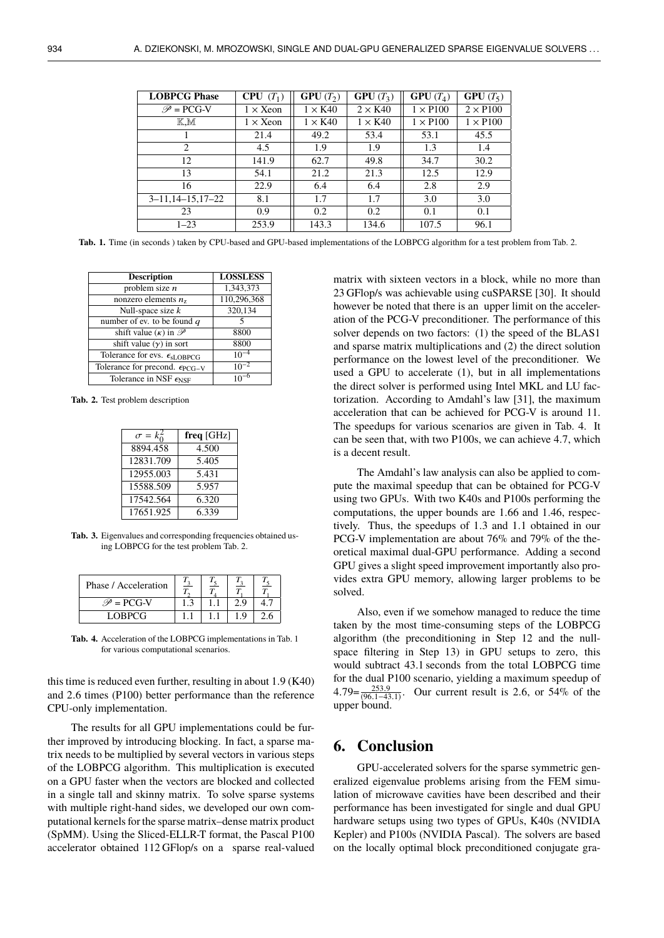| <b>LOBPCG Phase</b>   | $CPU(T_1)$       | $GPU(T_2)$     | $GPU(T_3)$     | $GPU(T_4)$      | <b>GPU</b> $(T_5)$ |
|-----------------------|------------------|----------------|----------------|-----------------|--------------------|
| $\mathscr{P}$ = PCG-V | $1 \times X$ eon | $1 \times K40$ | $2 \times K40$ | $1 \times P100$ | $2 \times P100$    |
| K.M                   | $1 \times X$ eon | $1 \times K40$ | $1 \times K40$ | $1 \times P100$ | $1 \times P100$    |
|                       | 21.4             | 49.2           | 53.4           | 53.1            | 45.5               |
| $\mathfrak{D}$        | 4.5              | 1.9            | 1.9            | 1.3             | 1.4                |
| 12                    | 141.9            | 62.7           | 49.8           | 34.7            | 30.2               |
| 13                    | 54.1             | 21.2           | 21.3           | 12.5            | 12.9               |
| 16                    | 22.9             | 6.4            | 6.4            | 2.8             | 2.9                |
| $3-11,14-15,17-22$    | 8.1              | 1.7            | 1.7            | 3.0             | 3.0                |
| 23                    | 0.9              | 0.2            | 0.2            | 0.1             | 0.1                |
| $1 - 23$              | 253.9            | 143.3          | 134.6          | 107.5           | 96.1               |

**Tab. 1.** Time (in seconds ) taken by CPU-based and GPU-based implementations of the LOBPCG algorithm for a test problem from Tab. 2.

| <b>Description</b>                               | <b>LOSSLESS</b> |
|--------------------------------------------------|-----------------|
| problem size $n$                                 | 1,343,373       |
| nonzero elements $n_z$                           | 110,296,368     |
| Null-space size $k$                              | 320,134         |
| number of ev. to be found $q$                    |                 |
| shift value $(\kappa)$ in $\mathscr{P}$          | 8800            |
| shift value $(y)$ in sort                        | 8800            |
| Tolerance for evs. $\epsilon_{\text{sLOBPCG}}$   | $10^{-4}$       |
| Tolerance for precond. $\epsilon_{\text{PCG-V}}$ | $10^{-2}$       |
| Tolerance in NSF $\epsilon_{\text{NSF}}$         |                 |
|                                                  |                 |

**Tab. 2.** Test problem description

| $\sigma = k_0^2$ | freq $[GHz]$ |  |  |
|------------------|--------------|--|--|
| 8894.458         | 4.500        |  |  |
| 12831.709        | 5.405        |  |  |
| 12955.003        | 5.431        |  |  |
| 15588.509        | 5.957        |  |  |
| 17542.564        | 6.320        |  |  |
| 17651.925        | 6.339        |  |  |

**Tab. 3.** Eigenvalues and corresponding frequencies obtained using LOBPCG for the test problem Tab. 2.

| Phase / Acceleration         |  |          |  |
|------------------------------|--|----------|--|
| $\mathscr{P} = \text{PCG-V}$ |  | 2.9      |  |
| LOBPCG                       |  | $\Omega$ |  |

**Tab. 4.** Acceleration of the LOBPCG implementations in Tab. 1 for various computational scenarios.

this time is reduced even further, resulting in about <sup>1</sup>.<sup>9</sup> (K40) and <sup>2</sup>.<sup>6</sup> times (P100) better performance than the reference CPU-only implementation.

The results for all GPU implementations could be further improved by introducing blocking. In fact, a sparse matrix needs to be multiplied by several vectors in various steps of the LOBPCG algorithm. This multiplication is executed on a GPU faster when the vectors are blocked and collected in a single tall and skinny matrix. To solve sparse systems with multiple right-hand sides, we developed our own computational kernels for the sparse matrix–dense matrix product (SpMM). Using the Sliced-ELLR-T format, the Pascal P100 accelerator obtained 112 GFlop/s on a sparse real-valued

matrix with sixteen vectors in a block, while no more than 23 GFlop/s was achievable using cuSPARSE [30]. It should however be noted that there is an upper limit on the acceleration of the PCG-V preconditioner. The performance of this solver depends on two factors: (1) the speed of the BLAS1 and sparse matrix multiplications and (2) the direct solution performance on the lowest level of the preconditioner. We used a GPU to accelerate (1), but in all implementations the direct solver is performed using Intel MKL and LU factorization. According to Amdahl's law [31], the maximum acceleration that can be achieved for PCG-V is around 11. The speedups for various scenarios are given in Tab. 4. It can be seen that, with two P100s, we can achieve <sup>4</sup>.7, which is a decent result.

The Amdahl's law analysis can also be applied to compute the maximal speedup that can be obtained for PCG-V using two GPUs. With two K40s and P100s performing the computations, the upper bounds are <sup>1</sup>.<sup>66</sup> and <sup>1</sup>.46, respectively. Thus, the speedups of <sup>1</sup>.<sup>3</sup> and <sup>1</sup>.<sup>1</sup> obtained in our PCG-V implementation are about 76% and 79% of the theoretical maximal dual-GPU performance. Adding a second GPU gives a slight speed improvement importantly also provides extra GPU memory, allowing larger problems to be solved.

Also, even if we somehow managed to reduce the time taken by the most time-consuming steps of the LOBPCG algorithm (the preconditioning in Step 12 and the nullspace filtering in Step 13) in GPU setups to zero, this would subtract 43.1 seconds from the total LOBPCG time for the dual P100 scenario, yielding a maximum speedup of  $4.79 = \frac{253.9}{(96.1 - 43.1)}$ . Our current result is 2.6, or 54% of the upper bound upper bound.

## **6. Conclusion**

GPU-accelerated solvers for the sparse symmetric generalized eigenvalue problems arising from the FEM simulation of microwave cavities have been described and their performance has been investigated for single and dual GPU hardware setups using two types of GPUs, K40s (NVIDIA Kepler) and P100s (NVIDIA Pascal). The solvers are based on the locally optimal block preconditioned conjugate gra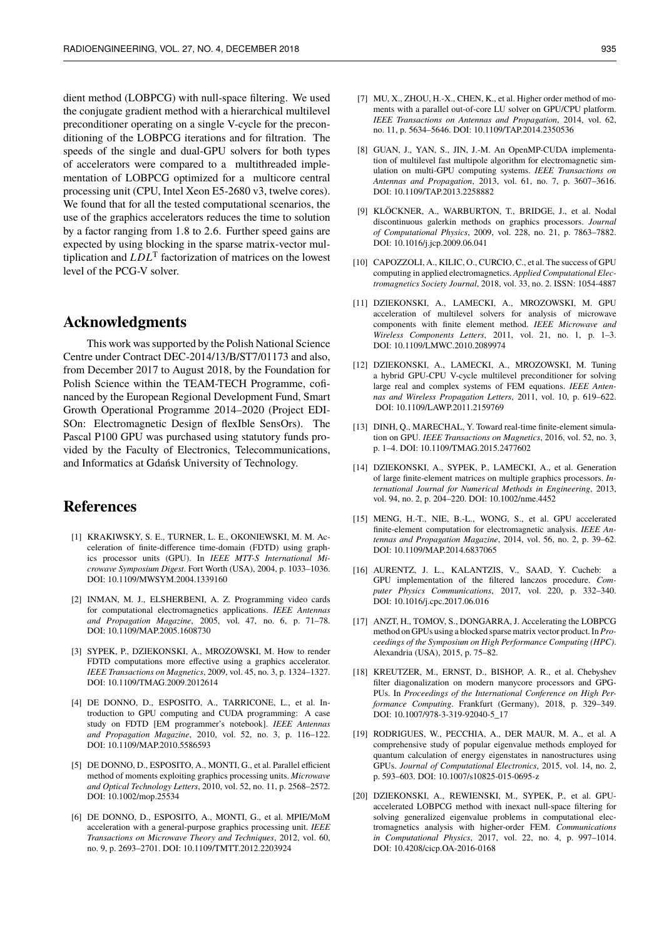dient method (LOBPCG) with null-space filtering. We used the conjugate gradient method with a hierarchical multilevel preconditioner operating on a single V-cycle for the preconditioning of the LOBPCG iterations and for filtration. The speeds of the single and dual-GPU solvers for both types of accelerators were compared to a multithreaded implementation of LOBPCG optimized for a multicore central processing unit (CPU, Intel Xeon E5-2680 v3, twelve cores). We found that for all the tested computational scenarios, the use of the graphics accelerators reduces the time to solution by a factor ranging from <sup>1</sup>.<sup>8</sup> to <sup>2</sup>.6. Further speed gains are expected by using blocking in the sparse matrix-vector multiplication and *LDL*<sup>T</sup> factorization of matrices on the lowest level of the PCG-V solver.

#### **Acknowledgments**

This work was supported by the Polish National Science Centre under Contract DEC-2014/13/B/ST7/01173 and also, from December 2017 to August 2018, by the Foundation for Polish Science within the TEAM-TECH Programme, cofinanced by the European Regional Development Fund, Smart Growth Operational Programme 2014–2020 (Project EDI-SOn: Electromagnetic Design of flexIble SensOrs). The Pascal P100 GPU was purchased using statutory funds provided by the Faculty of Electronics, Telecommunications, and Informatics at Gdańsk University of Technology.

### **References**

- [1] KRAKIWSKY, S. E., TURNER, L. E., OKONIEWSKI, M. M. Acceleration of finite-difference time-domain (FDTD) using graphics processor units (GPU). In *IEEE MTT-S International Microwave Symposium Digest*. Fort Worth (USA), 2004, p. 1033–1036. DOI: 10.1109/MWSYM.2004.1339160
- [2] INMAN, M. J., ELSHERBENI, A. Z. Programming video cards for computational electromagnetics applications. *IEEE Antennas and Propagation Magazine*, 2005, vol. 47, no. 6, p. 71–78. DOI: 10.1109/MAP.2005.1608730
- [3] SYPEK, P., DZIEKONSKI, A., MROZOWSKI, M. How to render FDTD computations more effective using a graphics accelerator. *IEEE Transactions on Magnetics*, 2009, vol. 45, no. 3, p. 1324–1327. DOI: 10.1109/TMAG.2009.2012614
- [4] DE DONNO, D., ESPOSITO, A., TARRICONE, L., et al. Introduction to GPU computing and CUDA programming: A case study on FDTD [EM programmer's notebook]. *IEEE Antennas and Propagation Magazine*, 2010, vol. 52, no. 3, p. 116–122. DOI: 10.1109/MAP.2010.5586593
- [5] DE DONNO, D., ESPOSITO, A., MONTI, G., et al. Parallel efficient method of moments exploiting graphics processing units. *Microwave and Optical Technology Letters*, 2010, vol. 52, no. 11, p. 2568–2572. DOI: 10.1002/mop.25534
- [6] DE DONNO, D., ESPOSITO, A., MONTI, G., et al. MPIE/MoM acceleration with a general-purpose graphics processing unit. *IEEE Transactions on Microwave Theory and Techniques*, 2012, vol. 60, no. 9, p. 2693–2701. DOI: 10.1109/TMTT.2012.2203924
- [7] MU, X., ZHOU, H.-X., CHEN, K., et al. Higher order method of moments with a parallel out-of-core LU solver on GPU/CPU platform. *IEEE Transactions on Antennas and Propagation*, 2014, vol. 62, no. 11, p. 5634–5646. DOI: 10.1109/TAP.2014.2350536
- [8] GUAN, J., YAN, S., JIN, J.-M. An OpenMP-CUDA implementation of multilevel fast multipole algorithm for electromagnetic simulation on multi-GPU computing systems. *IEEE Transactions on Antennas and Propagation*, 2013, vol. 61, no. 7, p. 3607–3616. DOI: 10.1109/TAP.2013.2258882
- [9] KLÖCKNER, A., WARBURTON, T., BRIDGE, J., et al. Nodal discontinuous galerkin methods on graphics processors. *Journal of Computational Physics*, 2009, vol. 228, no. 21, p. 7863–7882. DOI: 10.1016/j.jcp.2009.06.041
- [10] CAPOZZOLI, A., KILIC, O., CURCIO, C., et al. The success of GPU computing in applied electromagnetics. *Applied Computational Electromagnetics Society Journal*, 2018, vol. 33, no. 2. ISSN: 1054-4887
- [11] DZIEKONSKI, A., LAMECKI, A., MROZOWSKI, M. GPU acceleration of multilevel solvers for analysis of microwave components with finite element method. *IEEE Microwave and Wireless Components Letters*, 2011, vol. 21, no. 1, p. 1–3. DOI: 10.1109/LMWC.2010.2089974
- [12] DZIEKONSKI, A., LAMECKI, A., MROZOWSKI, M. Tuning a hybrid GPU-CPU V-cycle multilevel preconditioner for solving large real and complex systems of FEM equations. *IEEE Antennas and Wireless Propagation Letters*, 2011, vol. 10, p. 619–622. DOI: 10.1109/LAWP.2011.2159769
- [13] DINH, Q., MARECHAL, Y. Toward real-time finite-element simulation on GPU. *IEEE Transactions on Magnetics*, 2016, vol. 52, no. 3, p. 1–4. DOI: 10.1109/TMAG.2015.2477602
- [14] DZIEKONSKI, A., SYPEK, P., LAMECKI, A., et al. Generation of large finite-element matrices on multiple graphics processors. *International Journal for Numerical Methods in Engineering*, 2013, vol. 94, no. 2, p. 204–220. DOI: 10.1002/nme.4452
- [15] MENG, H.-T., NIE, B.-L., WONG, S., et al. GPU accelerated finite-element computation for electromagnetic analysis. *IEEE Antennas and Propagation Magazine*, 2014, vol. 56, no. 2, p. 39–62. DOI: 10.1109/MAP.2014.6837065
- [16] AURENTZ, J. L., KALANTZIS, V., SAAD, Y. Cucheb: a GPU implementation of the filtered lanczos procedure. *Computer Physics Communications*, 2017, vol. 220, p. 332–340. DOI: 10.1016/j.cpc.2017.06.016
- [17] ANZT, H., TOMOV, S., DONGARRA, J. Accelerating the LOBPCG method on GPUs using a blocked sparse matrix vector product. In *Proceedings of the Symposium on High Performance Computing (HPC)*. Alexandria (USA), 2015, p. 75–82.
- [18] KREUTZER, M., ERNST, D., BISHOP, A. R., et al. Chebyshev filter diagonalization on modern manycore processors and GPG-PUs. In *Proceedings of the International Conference on High Performance Computing*. Frankfurt (Germany), 2018, p. 329–349. DOI: 10.1007/978-3-319-92040-5\_17
- [19] RODRIGUES, W., PECCHIA, A., DER MAUR, M. A., et al. A comprehensive study of popular eigenvalue methods employed for quantum calculation of energy eigenstates in nanostructures using GPUs. *Journal of Computational Electronics*, 2015, vol. 14, no. 2, p. 593–603. DOI: 10.1007/s10825-015-0695-z
- [20] DZIEKONSKI, A., REWIENSKI, M., SYPEK, P., et al. GPUaccelerated LOBPCG method with inexact null-space filtering for solving generalized eigenvalue problems in computational electromagnetics analysis with higher-order FEM. *Communications in Computational Physics*, 2017, vol. 22, no. 4, p. 997–1014. DOI: 10.4208/cicp.OA-2016-0168